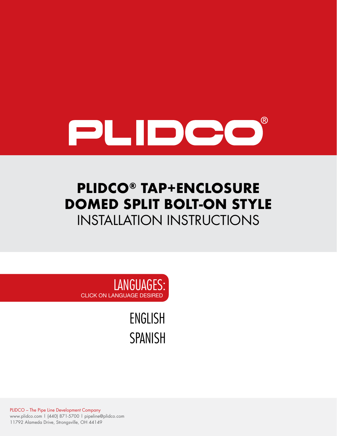

## **PLIDCO® TAP+ENCLOSURE DOMED SPLIT BOLT-ON STYLE** INSTALLATION INSTRUCTIONS

LANGUAGES: CLICK ON LANGUAGE DESIRED

> [ENGLISH](#page-1-0) [SPANISH](#page-12-0)

PLIDCO – The Pipe Line Development Company www.plidco.com | (440) 871-5700 | pipeline@plidco.com 11792 Alameda Drive, Strongsville, OH 44149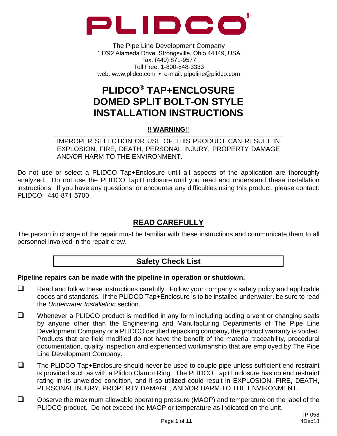<span id="page-1-0"></span>

The Pipe Line Development Company 11792 Alameda Drive, Strongsville, Ohio 44149, USA Fax: (440) 871-9577 Toll Free: 1-800-848-3333 web: www.plidco.com • e-mail: pipeline@plidco.com

## **PLIDCO® TAP+ENCLOSURE DOMED SPLIT BOLT-ON STYLE INSTALLATION INSTRUCTIONS**

#### !! **WARNING**!!

IMPROPER SELECTION OR USE OF THIS PRODUCT CAN RESULT IN EXPLOSION, FIRE, DEATH, PERSONAL INJURY, PROPERTY DAMAGE AND/OR HARM TO THE ENVIRONMENT.

Do not use or select a PLIDCO Tap+Enclosure until all aspects of the application are thoroughly analyzed. Do not use the PLIDCO Tap+Enclosure until you read and understand these installation instructions. If you have any questions, or encounter any difficulties using this product, please contact: PLIDCO 440-871-5700

## **READ CAREFULLY**

The person in charge of the repair must be familiar with these instructions and communicate them to all personnel involved in the repair crew.

## **Safety Check List**

#### **Pipeline repairs can be made with the pipeline in operation or shutdown.**

- $\Box$  Read and follow these instructions carefully. Follow your company's safety policy and applicable codes and standards. If the PLIDCO Tap+Enclosure is to be installed underwater, be sure to read the *Underwater Installation* section.
- $\Box$  Whenever a PLIDCO product is modified in any form including adding a vent or changing seals by anyone other than the Engineering and Manufacturing Departments of The Pipe Line Development Company or a PLIDCO certified repacking company, the product warranty is voided. Products that are field modified do not have the benefit of the material traceability, procedural documentation, quality inspection and experienced workmanship that are employed by The Pipe Line Development Company.
- $\Box$  The PLIDCO Tap+Enclosure should never be used to couple pipe unless sufficient end restraint is provided such as with a Plidco Clamp+Ring. The PLIDCO Tap+Enclosure has no end restraint rating in its unwelded condition, and if so utilized could result in EXPLOSION, FIRE, DEATH, PERSONAL INJURY, PROPERTY DAMAGE, AND/OR HARM TO THE ENVIRONMENT.
- Observe the maximum allowable operating pressure (MAOP) and temperature on the label of the PLIDCO product. Do not exceed the MAOP or temperature as indicated on the unit.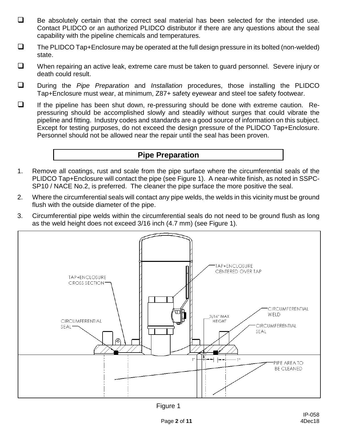- $\Box$  Be absolutely certain that the correct seal material has been selected for the intended use. Contact PLIDCO or an authorized PLIDCO distributor if there are any questions about the seal capability with the pipeline chemicals and temperatures.
- $\square$  The PLIDCO Tap+Enclosure may be operated at the full design pressure in its bolted (non-welded) state.
- $\Box$  When repairing an active leak, extreme care must be taken to guard personnel. Severe injury or death could result.
- During the *Pipe Preparation* and *Installation* procedures, those installing the PLIDCO Tap+Enclosure must wear, at minimum, Z87+ safety eyewear and steel toe safety footwear.
- $\Box$  If the pipeline has been shut down, re-pressuring should be done with extreme caution. Repressuring should be accomplished slowly and steadily without surges that could vibrate the pipeline and fitting. Industry codes and standards are a good source of information on this subject. Except for testing purposes, do not exceed the design pressure of the PLIDCO Tap+Enclosure. Personnel should not be allowed near the repair until the seal has been proven.

## **Pipe Preparation**

- 1. Remove all coatings, rust and scale from the pipe surface where the circumferential seals of the PLIDCO Tap+Enclosure will contact the pipe (see Figure 1). A near-white finish, as noted in SSPC-SP10 / NACE No.2, is preferred. The cleaner the pipe surface the more positive the seal.
- 2. Where the circumferential seals will contact any pipe welds, the welds in this vicinity must be ground flush with the outside diameter of the pipe.
- 3. Circumferential pipe welds within the circumferential seals do not need to be ground flush as long as the weld height does not exceed 3/16 inch (4.7 mm) (see Figure 1).

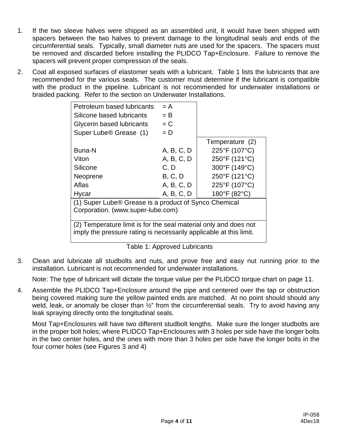- 1. If the two sleeve halves were shipped as an assembled unit, it would have been shipped with spacers between the two halves to prevent damage to the longitudinal seals and ends of the circumferential seals. Typically, small diameter nuts are used for the spacers. The spacers must be removed and discarded before installing the PLIDCO Tap+Enclosure. Failure to remove the spacers will prevent proper compression of the seals.
- 2. Coat all exposed surfaces of elastomer seals with a lubricant. Table 1 lists the lubricants that are recommended for the various seals. The customer must determine if the lubricant is compatible with the product in the pipeline. Lubricant is not recommended for underwater installations or braided packing. Refer to the section on Underwater Installations.

| Petroleum based lubricants                                         | $= A$      |                 |  |  |  |
|--------------------------------------------------------------------|------------|-----------------|--|--|--|
| Silicone based lubricants                                          | $=$ B      |                 |  |  |  |
| Glycerin based lubricants                                          | $= C$      |                 |  |  |  |
| Super Lube <sup>®</sup> Grease (1)                                 | $= D$      |                 |  |  |  |
|                                                                    |            | Temperature (2) |  |  |  |
| Buna-N                                                             | A, B, C, D | 225°F (107°C)   |  |  |  |
| Viton                                                              | A, B, C, D | 250°F (121°C)   |  |  |  |
| Silicone                                                           | C.D        | 300°F (149°C)   |  |  |  |
| Neoprene                                                           | B, C, D    | 250°F (121°C)   |  |  |  |
| Aflas                                                              | A, B, C, D | 225°F (107°C)   |  |  |  |
| Hycar                                                              | A, B, C, D | 180°F (82°C)    |  |  |  |
| (1) Super Lube® Grease is a product of Synco Chemical              |            |                 |  |  |  |
| Corporation. (www.super-lube.com)                                  |            |                 |  |  |  |
| (2) Temperature limit is for the seal material only and does not   |            |                 |  |  |  |
| imply the pressure rating is necessarily applicable at this limit. |            |                 |  |  |  |

Table 1: Approved Lubricants

3. Clean and lubricate all studbolts and nuts, and prove free and easy nut running prior to the installation. Lubricant is not recommended for underwater installations.

Note: The type of lubricant will dictate the torque value per the PLIDCO torque chart on page 11.

4. Assemble the PLIDCO Tap+Enclosure around the pipe and centered over the tap or obstruction being covered making sure the yellow painted ends are matched. At no point should should any weld, leak, or anomaly be closer than  $\frac{1}{2}$ " from the circumferential seals. Try to avoid having any leak spraying directly onto the longitudinal seals.

Most Tap+Enclosures will have two different studbolt lengths. Make sure the longer studbolts are in the proper bolt holes; where PLIDCO Tap+Enclosures with 3 holes per side have the longer bolts in the two center holes, and the ones with more than 3 holes per side have the longer bolts in the four corner holes (see Figures 3 and 4)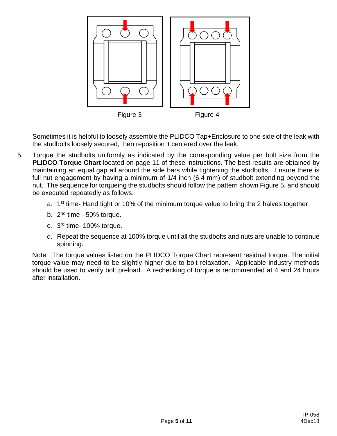

Sometimes it is helpful to loosely assemble the PLIDCO Tap+Enclosure to one side of the leak with the studbolts loosely secured, then reposition it centered over the leak.

- 5. Torque the studbolts uniformly as indicated by the corresponding value per bolt size from the **PLIDCO Torque Chart** located on page 11 of these instructions. The best results are obtained by maintaining an equal gap all around the side bars while tightening the studbolts. Ensure there is full nut engagement by having a minimum of  $1/4$  inch (6.4 mm) of studbolt extending beyond the nut. The sequence for torqueing the studbolts should follow the pattern shown Figure 5, and should be executed repeatedly as follows:
	- a.  $1<sup>st</sup>$  time-Hand tight or 10% of the minimum torque value to bring the 2 halves together
	- b.  $2<sup>nd</sup>$  time 50% torque.
	- c. 3rd time- 100% torque.
	- d. Repeat the sequence at 100% torque until all the studbolts and nuts are unable to continue spinning.

Note: The torque values listed on the PLIDCO Torque Chart represent residual torque. The initial torque value may need to be slightly higher due to bolt relaxation. Applicable industry methods should be used to verify bolt preload. A rechecking of torque is recommended at 4 and 24 hours after installation.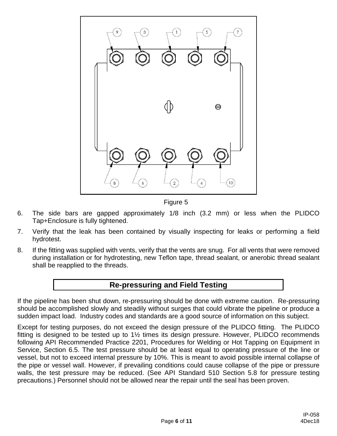

Figure 5

- 6. The side bars are gapped approximately 1/8 inch (3.2 mm) or less when the PLIDCO Tap+Enclosure is fully tightened.
- 7. Verify that the leak has been contained by visually inspecting for leaks or performing a field hydrotest.
- 8. If the fitting was supplied with vents, verify that the vents are snug. For all vents that were removed during installation or for hydrotesting, new Teflon tape, thread sealant, or anerobic thread sealant shall be reapplied to the threads.

### **Re-pressuring and Field Testing**

If the pipeline has been shut down, re-pressuring should be done with extreme caution. Re-pressuring should be accomplished slowly and steadily without surges that could vibrate the pipeline or produce a sudden impact load. Industry codes and standards are a good source of information on this subject.

Except for testing purposes, do not exceed the design pressure of the PLIDCO fitting. The PLIDCO fitting is designed to be tested up to 1½ times its design pressure. However, PLIDCO recommends following API Recommended Practice 2201, Procedures for Welding or Hot Tapping on Equipment in Service, Section 6.5. The test pressure should be at least equal to operating pressure of the line or vessel, but not to exceed internal pressure by 10%. This is meant to avoid possible internal collapse of the pipe or vessel wall. However, if prevailing conditions could cause collapse of the pipe or pressure walls, the test pressure may be reduced. (See API Standard 510 Section 5.8 for pressure testing precautions.) Personnel should not be allowed near the repair until the seal has been proven.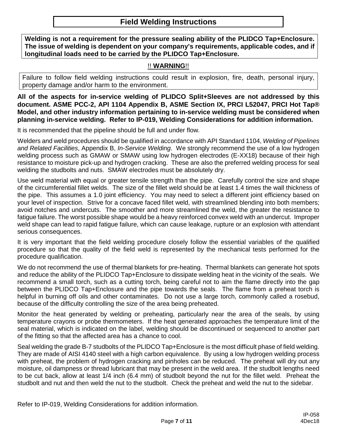## **Field Welding Instructions**

**Welding is not a requirement for the pressure sealing ability of the PLIDCO Tap+Enclosure. The issue of welding is dependent on your company's requirements, applicable codes, and if longitudinal loads need to be carried by the PLIDCO Tap+Enclosure.**

#### !! **WARNING**!!

Failure to follow field welding instructions could result in explosion, fire, death, personal injury, property damage and/or harm to the environment.

**All of the aspects for in-service welding of PLIDCO Split+Sleeves are not addressed by this document. ASME PCC-2, API 1104 Appendix B, ASME Section IX, PRCI L52047, PRCI Hot Tap® Model, and other industry information pertaining to in-service welding must be considered when planning in-service welding. Refer to IP-019, Welding Considerations for addition information.**

It is recommended that the pipeline should be full and under flow.

Welders and weld procedures should be qualified in accordance with API Standard 1104, *Welding of Pipelines and Related Facilities*, Appendix B, *In-Service Welding*. We strongly recommend the use of a low hydrogen welding process such as GMAW or SMAW using low hydrogen electrodes (E-XX18) because of their high resistance to moisture pick-up and hydrogen cracking. These are also the preferred welding process for seal welding the studbolts and nuts. SMAW electrodes must be absolutely dry.

Use weld material with equal or greater tensile strength than the pipe. Carefully control the size and shape of the circumferential fillet welds. The size of the fillet weld should be at least 1.4 times the wall thickness of the pipe. This assumes a 1.0 joint efficiency. You may need to select a different joint efficiency based on your level of inspection. Strive for a concave faced fillet weld, with streamlined blending into both members; avoid notches and undercuts. The smoother and more streamlined the weld, the greater the resistance to fatigue failure. The worst possible shape would be a heavy reinforced convex weld with an undercut. Improper weld shape can lead to rapid fatigue failure, which can cause leakage, rupture or an explosion with attendant serious consequences.

It is very important that the field welding procedure closely follow the essential variables of the qualified procedure so that the quality of the field weld is represented by the mechanical tests performed for the procedure qualification.

We do not recommend the use of thermal blankets for pre-heating. Thermal blankets can generate hot spots and reduce the ability of the PLIDCO Tap+Enclosure to dissipate welding heat in the vicinity of the seals. We recommend a small torch, such as a cutting torch, being careful not to aim the flame directly into the gap between the PLIDCO Tap+Enclosure and the pipe towards the seals. The flame from a preheat torch is helpful in burning off oils and other contaminates. Do not use a large torch, commonly called a rosebud, because of the difficulty controlling the size of the area being preheated.

Monitor the heat generated by welding or preheating, particularly near the area of the seals, by using temperature crayons or probe thermometers. If the heat generated approaches the temperature limit of the seal material, which is indicated on the label, welding should be discontinued or sequenced to another part of the fitting so that the affected area has a chance to cool.

Seal welding the grade B-7 studbolts of the PLIDCO Tap+Enclosure is the most difficult phase of field welding. They are made of AISI 4140 steel with a high carbon equivalence. By using a low hydrogen welding process with preheat, the problem of hydrogen cracking and pinholes can be reduced. The preheat will dry out any moisture, oil dampness or thread lubricant that may be present in the weld area. If the studbolt lengths need to be cut back, allow at least 1/4 inch (6.4 mm) of studbolt beyond the nut for the fillet weld. Preheat the studbolt and nut and then weld the nut to the studbolt. Check the preheat and weld the nut to the sidebar.

Refer to IP-019, Welding Considerations for addition information.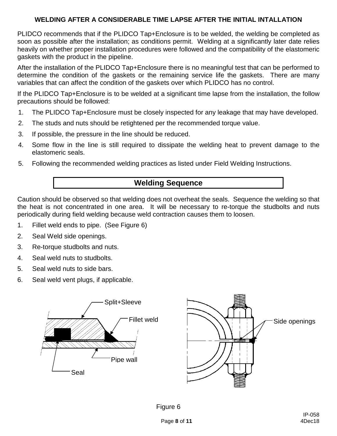#### **WELDING AFTER A CONSIDERABLE TIME LAPSE AFTER THE INITIAL INTALLATION**

PLIDCO recommends that if the PLIDCO Tap+Enclosure is to be welded, the welding be completed as soon as possible after the installation; as conditions permit. Welding at a significantly later date relies heavily on whether proper installation procedures were followed and the compatibility of the elastomeric gaskets with the product in the pipeline.

After the installation of the PLIDCO Tap+Enclosure there is no meaningful test that can be performed to determine the condition of the gaskets or the remaining service life the gaskets. There are many variables that can affect the condition of the gaskets over which PLIDCO has no control.

If the PLIDCO Tap+Enclosure is to be welded at a significant time lapse from the installation, the follow precautions should be followed:

- 1. The PLIDCO Tap+Enclosure must be closely inspected for any leakage that may have developed.
- 2. The studs and nuts should be retightened per the recommended torque value.
- 3. If possible, the pressure in the line should be reduced.
- 4. Some flow in the line is still required to dissipate the welding heat to prevent damage to the elastomeric seals.
- 5. Following the recommended welding practices as listed under Field Welding Instructions.

## **Welding Sequence**

Caution should be observed so that welding does not overheat the seals. Sequence the welding so that the heat is not concentrated in one area. It will be necessary to re-torque the studbolts and nuts periodically during field welding because weld contraction causes them to loosen.

- 1. Fillet weld ends to pipe. (See Figure 6)
- 2. Seal Weld side openings.
- 3. Re-torque studbolts and nuts.
- 4. Seal weld nuts to studbolts.
- 5. Seal weld nuts to side bars.
- 6. Seal weld vent plugs, if applicable.



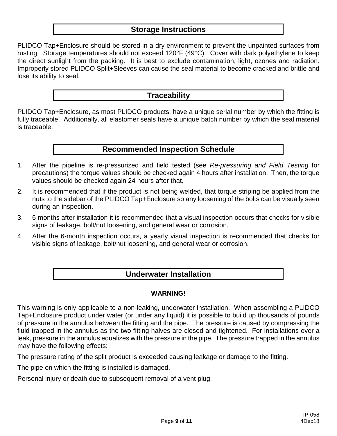#### **Storage Instructions**

PLIDCO Tap+Enclosure should be stored in a dry environment to prevent the unpainted surfaces from rusting. Storage temperatures should not exceed 120°F (49°C). Cover with dark polyethylene to keep the direct sunlight from the packing. It is best to exclude contamination, light, ozones and radiation. Improperly stored PLIDCO Split+Sleeves can cause the seal material to become cracked and brittle and lose its ability to seal.

#### **Traceability**

PLIDCO Tap+Enclosure, as most PLIDCO products, have a unique serial number by which the fitting is fully traceable. Additionally, all elastomer seals have a unique batch number by which the seal material is traceable.

## **Recommended Inspection Schedule**

- 1. After the pipeline is re-pressurized and field tested (see *Re-pressuring and Field Testing* for precautions) the torque values should be checked again 4 hours after installation. Then, the torque values should be checked again 24 hours after that.
- 2. It is recommended that if the product is not being welded, that torque striping be applied from the nuts to the sidebar of the PLIDCO Tap+Enclosure so any loosening of the bolts can be visually seen during an inspection.
- 3. 6 months after installation it is recommended that a visual inspection occurs that checks for visible signs of leakage, bolt/nut loosening, and general wear or corrosion.
- 4. After the 6-month inspection occurs, a yearly visual inspection is recommended that checks for visible signs of leakage, bolt/nut loosening, and general wear or corrosion.

#### **Underwater Installation**

#### **WARNING!**

This warning is only applicable to a non-leaking, underwater installation. When assembling a PLIDCO Tap+Enclosure product under water (or under any liquid) it is possible to build up thousands of pounds of pressure in the annulus between the fitting and the pipe. The pressure is caused by compressing the fluid trapped in the annulus as the two fitting halves are closed and tightened. For installations over a leak, pressure in the annulus equalizes with the pressure in the pipe. The pressure trapped in the annulus may have the following effects:

The pressure rating of the split product is exceeded causing leakage or damage to the fitting.

The pipe on which the fitting is installed is damaged.

Personal injury or death due to subsequent removal of a vent plug.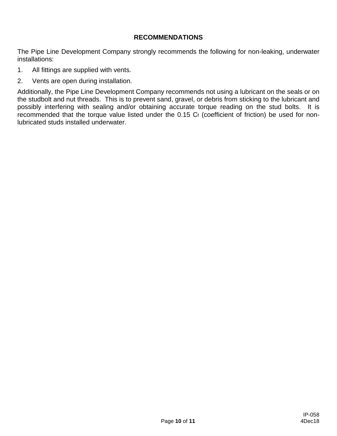#### **RECOMMENDATIONS**

The Pipe Line Development Company strongly recommends the following for non-leaking, underwater installations:

- 1. All fittings are supplied with vents.
- 2. Vents are open during installation.

Additionally, the Pipe Line Development Company recommends not using a lubricant on the seals or on the studbolt and nut threads. This is to prevent sand, gravel, or debris from sticking to the lubricant and possibly interfering with sealing and/or obtaining accurate torque reading on the stud bolts. It is recommended that the torque value listed under the 0.15 Cf (coefficient of friction) be used for nonlubricated studs installed underwater.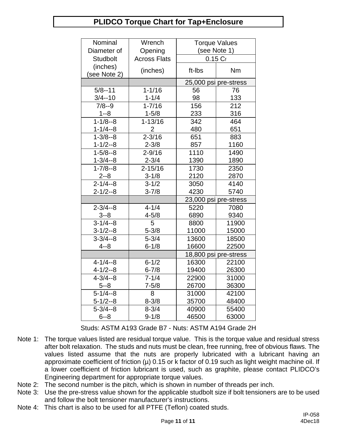## **PLIDCO Torque Chart for Tap+Enclosure**

| Nominal         | Wrench              | <b>Torque Values</b>  |              |
|-----------------|---------------------|-----------------------|--------------|
| Diameter of     | Opening             |                       | (see Note 1) |
| <b>Studbolt</b> | <b>Across Flats</b> |                       | $0.15C_f$    |
| (inches)        | (inches)            | ft-Ibs                | Nm           |
| (see Note 2)    |                     |                       |              |
|                 |                     | 25,000 psi pre-stress |              |
| $5/8 - 11$      | $1 - 1/16$          | 56                    | 76           |
| $3/4 - 10$      | $1 - 1/4$           | 98                    | 133          |
| $7/8 - 9$       | $1 - 7/16$          | 156                   | 212          |
| $1 - 8$         | $1 - 5/8$           | 233                   | 316          |
| $1 - 1/8 - 8$   | $1 - 13/16$         | 342                   | 464          |
| $1 - 1/4 - 8$   | 2                   | 480                   | 651          |
| $1 - 3/8 - 8$   | $2 - 3/16$          | 651                   | 883          |
| $1 - 1/2 - 8$   | $2 - 3/8$           | 857                   | 1160         |
| $1 - 5/8 - 8$   | $2 - 9/16$          | 1110                  | 1490         |
| $1 - 3/4 - 8$   | $2 - 3/4$           | 1390                  | 1890         |
| $1 - 7/8 - 8$   | $2 - 15/16$         | 1730                  | 2350         |
| $2 - 8$         | $3 - 1/8$           | 2120                  | 2870         |
| $2 - 1/4 - 8$   | $3 - 1/2$           | 3050                  | 4140         |
| $2 - 1/2 - 8$   | $3 - 7/8$           | 4230                  | 5740         |
|                 |                     | 23,000 psi pre-stress |              |
| $2 - 3/4 - 8$   | $4 - 1/4$           | 5220                  | 7080         |
| $3 - 8$         | $4 - 5/8$           | 6890                  | 9340         |
| $3 - 1/4 - 8$   | 5                   | 8800                  | 11900        |
| $3 - 1/2 - 8$   | $5 - 3/8$           | 11000                 | 15000        |
| $3 - 3/4 - 8$   | $5 - 3/4$           | 13600                 | 18500        |
| $4 - 8$         | $6 - 1/8$           | 16600                 | 22500        |
|                 |                     | 18,800 psi pre-stress |              |
| $4 - 1/4 - 8$   | $6 - 1/2$           | 16300                 | 22100        |
| $4 - 1/2 - 8$   | $6 - 7/8$           | 19400                 | 26300        |
| $4 - 3/4 - 8$   | $7 - 1/4$           | 22900                 | 31000        |
| $5 - 8$         | $7 - 5/8$           | 26700                 | 36300        |
| $5 - 1/4 - 8$   | 8                   | 31000                 | 42100        |
| $5 - 1/2 - 8$   | $8 - 3/8$           | 35700                 | 48400        |
| $5 - 3/4 - 8$   | $8 - 3/4$           | 40900                 | 55400        |
| $6 - 8$         | $9 - 1/8$           | 46500                 | 63000        |

Studs: ASTM A193 Grade B7 - Nuts: ASTM A194 Grade 2H

- Note 1: The torque values listed are residual torque value. This is the torque value and residual stress after bolt relaxation. The studs and nuts must be clean, free running, free of obvious flaws. The values listed assume that the nuts are properly lubricated with a lubricant having an approximate coefficient of friction ( $\mu$ ) 0.15 or k factor of 0.19 such as light weight machine oil. If a lower coefficient of friction lubricant is used, such as graphite, please contact PLIDCO's Engineering department for appropriate torque values.
- Note 2: The second number is the pitch, which is shown in number of threads per inch.
- Note 3: Use the pre-stress value shown for the applicable studbolt size if bolt tensioners are to be used and follow the bolt tensioner manufacturer's instructions.
- Note 4: This chart is also to be used for all PTFE (Teflon) coated studs.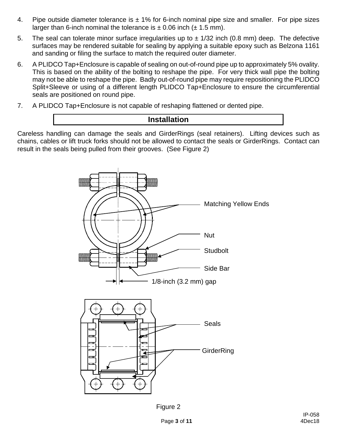- 4. Pipe outside diameter tolerance is  $\pm$  1% for 6-inch nominal pipe size and smaller. For pipe sizes larger than 6-inch nominal the tolerance is  $\pm$  0.06 inch ( $\pm$  1.5 mm).
- 5. The seal can tolerate minor surface irregularities up to  $\pm$  1/32 inch (0.8 mm) deep. The defective surfaces may be rendered suitable for sealing by applying a suitable epoxy such as Belzona 1161 and sanding or filing the surface to match the required outer diameter.
- 6. A PLIDCO Tap+Enclosure is capable of sealing on out-of-round pipe up to approximately 5% ovality. This is based on the ability of the bolting to reshape the pipe. For very thick wall pipe the bolting may not be able to reshape the pipe. Badly out-of-round pipe may require repositioning the PLIDCO Split+Sleeve or using of a different length PLIDCO Tap+Enclosure to ensure the circumferential seals are positioned on round pipe.
- 7. A PLIDCO Tap+Enclosure is not capable of reshaping flattened or dented pipe.

#### **Installation**

Careless handling can damage the seals and GirderRings (seal retainers). Lifting devices such as chains, cables or lift truck forks should not be allowed to contact the seals or GirderRings. Contact can result in the seals being pulled from their grooves. (See Figure 2)



Figure 2